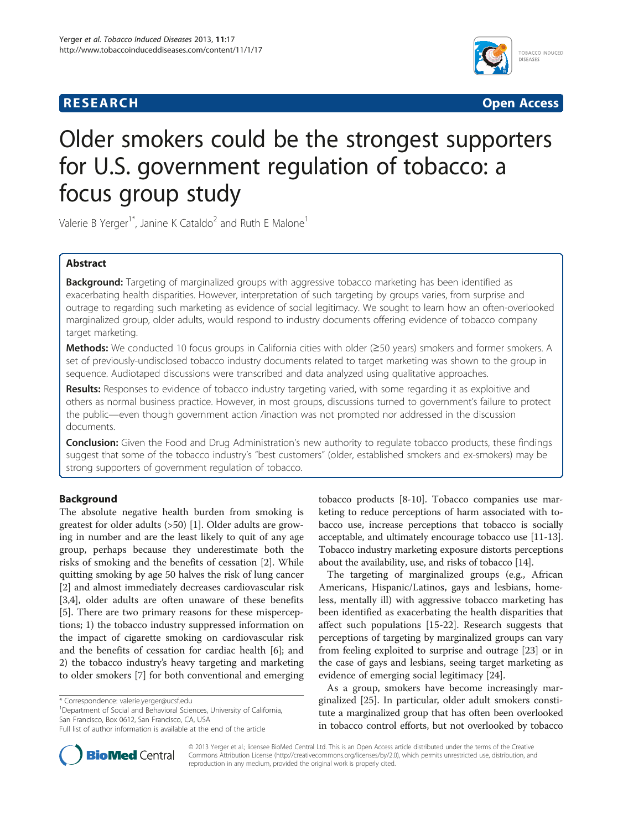## **RESEARCH RESEARCH** *CHECKER CHECKER CHECKER CHECKER CHECKER CHECKER CHECKER CHECKER CHECKER CHECKER CHECKER*



# Older smokers could be the strongest supporters for U.S. government regulation of tobacco: a focus group study

Valerie B Yerger<sup>1\*</sup>, Janine K Cataldo<sup>2</sup> and Ruth E Malone<sup>1</sup>

## Abstract

Background: Targeting of marginalized groups with aggressive tobacco marketing has been identified as exacerbating health disparities. However, interpretation of such targeting by groups varies, from surprise and outrage to regarding such marketing as evidence of social legitimacy. We sought to learn how an often-overlooked marginalized group, older adults, would respond to industry documents offering evidence of tobacco company target marketing.

Methods: We conducted 10 focus groups in California cities with older (≥50 years) smokers and former smokers. A set of previously-undisclosed tobacco industry documents related to target marketing was shown to the group in sequence. Audiotaped discussions were transcribed and data analyzed using qualitative approaches.

Results: Responses to evidence of tobacco industry targeting varied, with some regarding it as exploitive and others as normal business practice. However, in most groups, discussions turned to government's failure to protect the public—even though government action /inaction was not prompted nor addressed in the discussion documents.

**Conclusion:** Given the Food and Drug Administration's new authority to regulate tobacco products, these findings suggest that some of the tobacco industry's "best customers" (older, established smokers and ex-smokers) may be strong supporters of government regulation of tobacco.

## Background

The absolute negative health burden from smoking is greatest for older adults (>50) [\[1](#page-7-0)]. Older adults are growing in number and are the least likely to quit of any age group, perhaps because they underestimate both the risks of smoking and the benefits of cessation [\[2](#page-7-0)]. While quitting smoking by age 50 halves the risk of lung cancer [[2\]](#page-7-0) and almost immediately decreases cardiovascular risk [[3,4\]](#page-7-0), older adults are often unaware of these benefits [[5\]](#page-7-0). There are two primary reasons for these misperceptions; 1) the tobacco industry suppressed information on the impact of cigarette smoking on cardiovascular risk and the benefits of cessation for cardiac health [\[6](#page-7-0)]; and 2) the tobacco industry's heavy targeting and marketing to older smokers [[7\]](#page-7-0) for both conventional and emerging

<sup>1</sup>Department of Social and Behavioral Sciences, University of California, San Francisco, Box 0612, San Francisco, CA, USA

tobacco products [[8-10](#page-7-0)]. Tobacco companies use marketing to reduce perceptions of harm associated with tobacco use, increase perceptions that tobacco is socially acceptable, and ultimately encourage tobacco use [[11](#page-7-0)-[13](#page-7-0)]. Tobacco industry marketing exposure distorts perceptions about the availability, use, and risks of tobacco [[14](#page-7-0)].

The targeting of marginalized groups (e.g., African Americans, Hispanic/Latinos, gays and lesbians, homeless, mentally ill) with aggressive tobacco marketing has been identified as exacerbating the health disparities that affect such populations [\[15](#page-7-0)-[22\]](#page-7-0). Research suggests that perceptions of targeting by marginalized groups can vary from feeling exploited to surprise and outrage [\[23\]](#page-7-0) or in the case of gays and lesbians, seeing target marketing as evidence of emerging social legitimacy [\[24\]](#page-7-0).

As a group, smokers have become increasingly marginalized [[25\]](#page-7-0). In particular, older adult smokers constitute a marginalized group that has often been overlooked in tobacco control efforts, but not overlooked by tobacco



© 2013 Yerger et al.; licensee BioMed Central Ltd. This is an Open Access article distributed under the terms of the Creative Commons Attribution License [\(http://creativecommons.org/licenses/by/2.0\)](http://creativecommons.org/licenses/by/2.0), which permits unrestricted use, distribution, and reproduction in any medium, provided the original work is properly cited.

<sup>\*</sup> Correspondence: [valerie.yerger@ucsf.edu](mailto:valerie.yerger@ucsf.edu) <sup>1</sup>

Full list of author information is available at the end of the article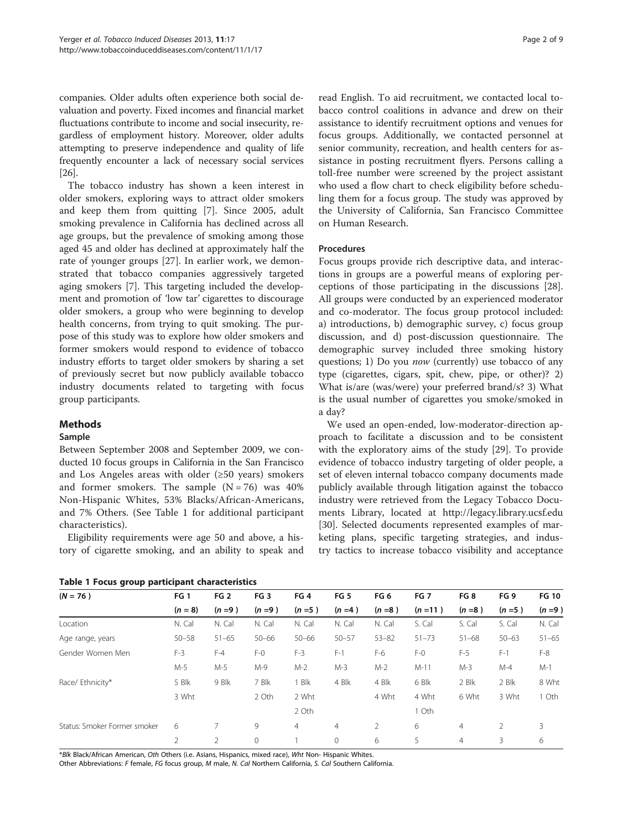companies. Older adults often experience both social devaluation and poverty. Fixed incomes and financial market fluctuations contribute to income and social insecurity, regardless of employment history. Moreover, older adults attempting to preserve independence and quality of life frequently encounter a lack of necessary social services [[26](#page-7-0)].

The tobacco industry has shown a keen interest in older smokers, exploring ways to attract older smokers and keep them from quitting [[7\]](#page-7-0). Since 2005, adult smoking prevalence in California has declined across all age groups, but the prevalence of smoking among those aged 45 and older has declined at approximately half the rate of younger groups [[27\]](#page-7-0). In earlier work, we demonstrated that tobacco companies aggressively targeted aging smokers [\[7](#page-7-0)]. This targeting included the development and promotion of 'low tar' cigarettes to discourage older smokers, a group who were beginning to develop health concerns, from trying to quit smoking. The purpose of this study was to explore how older smokers and former smokers would respond to evidence of tobacco industry efforts to target older smokers by sharing a set of previously secret but now publicly available tobacco industry documents related to targeting with focus group participants.

## Methods

## Sample

Between September 2008 and September 2009, we conducted 10 focus groups in California in the San Francisco and Los Angeles areas with older  $(\geq 50 \text{ years})$  smokers and former smokers. The sample  $(N = 76)$  was 40% Non-Hispanic Whites, 53% Blacks/African-Americans, and 7% Others. (See Table 1 for additional participant characteristics).

Eligibility requirements were age 50 and above, a history of cigarette smoking, and an ability to speak and

Table 1 Focus group participant characteristics

read English. To aid recruitment, we contacted local tobacco control coalitions in advance and drew on their assistance to identify recruitment options and venues for focus groups. Additionally, we contacted personnel at senior community, recreation, and health centers for assistance in posting recruitment flyers. Persons calling a toll-free number were screened by the project assistant who used a flow chart to check eligibility before scheduling them for a focus group. The study was approved by the University of California, San Francisco Committee on Human Research.

### Procedures

Focus groups provide rich descriptive data, and interactions in groups are a powerful means of exploring perceptions of those participating in the discussions [\[28](#page-7-0)]. All groups were conducted by an experienced moderator and co-moderator. The focus group protocol included: a) introductions, b) demographic survey, c) focus group discussion, and d) post-discussion questionnaire. The demographic survey included three smoking history questions; 1) Do you *now* (currently) use tobacco of any type (cigarettes, cigars, spit, chew, pipe, or other)? 2) What is/are (was/were) your preferred brand/s? 3) What is the usual number of cigarettes you smoke/smoked in a day?

We used an open-ended, low-moderator-direction approach to facilitate a discussion and to be consistent with the exploratory aims of the study [\[29](#page-7-0)]. To provide evidence of tobacco industry targeting of older people, a set of eleven internal tobacco company documents made publicly available through litigation against the tobacco industry were retrieved from the Legacy Tobacco Documents Library, located at<http://legacy.library.ucsf.edu> [[30\]](#page-7-0). Selected documents represented examples of marketing plans, specific targeting strategies, and industry tactics to increase tobacco visibility and acceptance

| -<br>. .                     |                 |                 |                 |                 |                 |                 |                 |                 |                 |              |
|------------------------------|-----------------|-----------------|-----------------|-----------------|-----------------|-----------------|-----------------|-----------------|-----------------|--------------|
| $(N = 76)$                   | FG <sub>1</sub> | FG <sub>2</sub> | FG <sub>3</sub> | FG <sub>4</sub> | FG <sub>5</sub> | FG <sub>6</sub> | FG <sub>7</sub> | FG <sub>8</sub> | FG <sub>9</sub> | <b>FG 10</b> |
|                              | $(n = 8)$       | $(n=9)$         | $(n=9)$         | $(n=5)$         | $(n=4)$         | $(n=8)$         | $(n=11)$        | $(n=8)$         | $(n = 5)$       | $(n=9)$      |
| Location                     | N. Cal          | N. Cal          | N. Cal          | N. Cal          | N. Cal          | N. Cal          | S. Cal          | S. Cal          | S. Cal          | N. Cal       |
| Age range, years             | $50 - 58$       | $51 - 65$       | $50 - 66$       | $50 - 66$       | $50 - 57$       | $53 - 82$       | $51 - 73$       | $51 - 68$       | $50 - 63$       | $51 - 65$    |
| Gender Women Men             | $F-3$           | $F-4$           | $F-0$           | $F-3$           | $F-1$           | F-6             | $F-0$           | $F-5$           | $F-1$           | $F-8$        |
|                              | M-5             | M-5             | $M-9$           | $M-2$           | $M-3$           | $M-2$           | $M-11$          | $M-3$           | $M-4$           | $M-1$        |
| Race/ Ethnicity*             | 5 Blk           | 9 Blk           | 7 Blk           | 1 Blk           | 4 Blk           | 4 Blk           | 6 Blk           | 2 Blk           | 2 Blk           | 8 Wht        |
|                              | 3 Wht           |                 | 2 Oth           | 2 Wht           |                 | 4 Wht           | 4 Wht           | 6 Wht           | 3 Wht           | 1 Oth        |
|                              |                 |                 |                 | 2 Oth           |                 |                 | 1 Oth           |                 |                 |              |
| Status: Smoker Former smoker | 6               | 7               | 9               | $\overline{4}$  | $\overline{4}$  | 2               | 6               | $\overline{4}$  | $\overline{2}$  | 3            |
|                              | 2               | 2               | $\mathbf{0}$    |                 | 0               | 6               | 5               | $\overline{4}$  | 3               | 6            |

\*Blk Black/African American, Oth Others (i.e. Asians, Hispanics, mixed race), Wht Non- Hispanic Whites.

Other Abbreviations: F female, FG focus group, M male, N. Cal Northern California, S. Cal Southern California.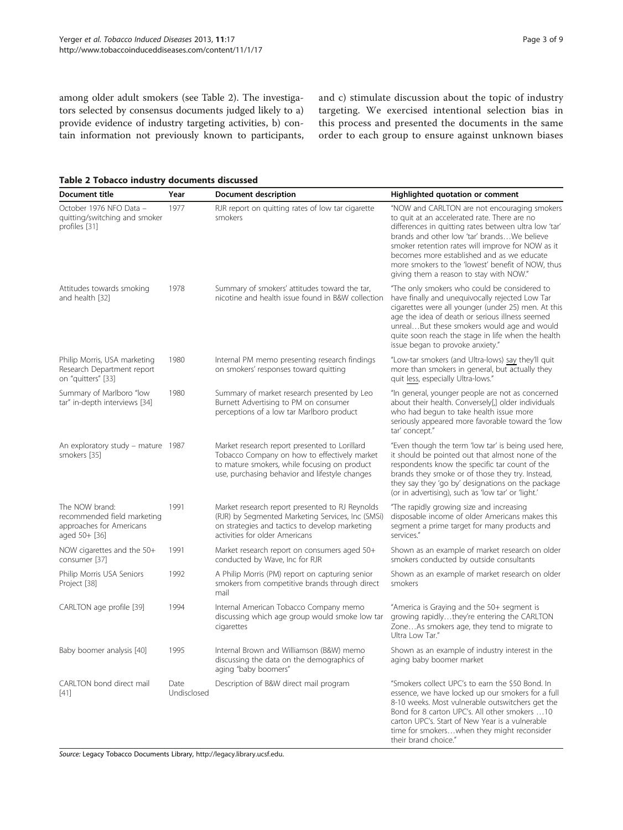and c) stimulate discussion about the topic of industry targeting. We exercised intentional selection bias in this process and presented the documents in the same order to each group to ensure against unknown biases

among older adult smokers (see Table 2). The investigators selected by consensus documents judged likely to a) provide evidence of industry targeting activities, b) contain information not previously known to participants,

Table 2 Tobacco industry documents discussed

| <b>Document title</b>                                                                      | Year                | Document description                                                                                                                                                                            | Highlighted quotation or comment                                                                                                                                                                                                                                                                                                                                                                        |  |  |  |
|--------------------------------------------------------------------------------------------|---------------------|-------------------------------------------------------------------------------------------------------------------------------------------------------------------------------------------------|---------------------------------------------------------------------------------------------------------------------------------------------------------------------------------------------------------------------------------------------------------------------------------------------------------------------------------------------------------------------------------------------------------|--|--|--|
| October 1976 NFO Data -<br>quitting/switching and smoker<br>profiles [31]                  | 1977                | RJR report on quitting rates of low tar cigarette<br>smokers                                                                                                                                    | "NOW and CARLTON are not encouraging smokers<br>to quit at an accelerated rate. There are no<br>differences in quitting rates between ultra low 'tar'<br>brands and other low 'tar' brandsWe believe<br>smoker retention rates will improve for NOW as it<br>becomes more established and as we educate<br>more smokers to the 'lowest' benefit of NOW, thus<br>giving them a reason to stay with NOW." |  |  |  |
| Attitudes towards smoking<br>and health [32]                                               | 1978                | Summary of smokers' attitudes toward the tar,<br>nicotine and health issue found in B&W collection                                                                                              | "The only smokers who could be considered to<br>have finally and unequivocally rejected Low Tar<br>cigarettes were all younger (under 25) men. At this<br>age the idea of death or serious illness seemed<br>unrealBut these smokers would age and would<br>quite soon reach the stage in life when the health<br>issue began to provoke anxiety."                                                      |  |  |  |
| Philip Morris, USA marketing<br>Research Department report<br>on "quitters" [33]           | 1980                | Internal PM memo presenting research findings<br>on smokers' responses toward quitting                                                                                                          | "Low-tar smokers (and Ultra-lows) say they'll quit<br>more than smokers in general, but actually they<br>quit less, especially Ultra-lows."                                                                                                                                                                                                                                                             |  |  |  |
| Summary of Marlboro "low<br>tar" in-depth interviews [34]                                  | 1980                | Summary of market research presented by Leo<br>Burnett Advertising to PM on consumer<br>perceptions of a low tar Marlboro product                                                               | "In general, younger people are not as concerned<br>about their health. Conversely[,] older individuals<br>who had begun to take health issue more<br>seriously appeared more favorable toward the 'low<br>tar' concept."                                                                                                                                                                               |  |  |  |
| An exploratory study - mature 1987<br>smokers [35]                                         |                     | Market research report presented to Lorillard<br>Tobacco Company on how to effectively market<br>to mature smokers, while focusing on product<br>use, purchasing behavior and lifestyle changes | "Even though the term 'low tar' is being used here,<br>it should be pointed out that almost none of the<br>respondents know the specific tar count of the<br>brands they smoke or of those they try. Instead,<br>they say they 'go by' designations on the package<br>(or in advertising), such as 'low tar' or 'light.'                                                                                |  |  |  |
| The NOW brand:<br>recommended field marketing<br>approaches for Americans<br>aged 50+ [36] | 1991                | Market research report presented to RJ Reynolds<br>(RJR) by Segmented Marketing Services, Inc (SMSi)<br>on strategies and tactics to develop marketing<br>activities for older Americans        | "The rapidly growing size and increasing<br>disposable income of older Americans makes this<br>segment a prime target for many products and<br>services."                                                                                                                                                                                                                                               |  |  |  |
| NOW cigarettes and the $50+$<br>consumer [37]                                              | 1991                | Market research report on consumers aged 50+<br>conducted by Wave, Inc for RJR                                                                                                                  | Shown as an example of market research on older<br>smokers conducted by outside consultants                                                                                                                                                                                                                                                                                                             |  |  |  |
| Philip Morris USA Seniors<br>Project [38]                                                  | 1992                | A Philip Morris (PM) report on capturing senior<br>smokers from competitive brands through direct<br>mail                                                                                       | Shown as an example of market research on older<br>smokers                                                                                                                                                                                                                                                                                                                                              |  |  |  |
| CARLTON age profile [39]                                                                   | 1994                | Internal American Tobacco Company memo<br>discussing which age group would smoke low tar<br>cigarettes                                                                                          | "America is Graying and the 50+ segment is<br>growing rapidlythey're entering the CARLTON<br>ZoneAs smokers age, they tend to migrate to<br>Ultra Low Tar."                                                                                                                                                                                                                                             |  |  |  |
| Baby boomer analysis [40]                                                                  | 1995                | Internal Brown and Williamson (B&W) memo<br>discussing the data on the demographics of<br>aging "baby boomers"                                                                                  | Shown as an example of industry interest in the<br>aging baby boomer market                                                                                                                                                                                                                                                                                                                             |  |  |  |
| CARLTON bond direct mail<br>$[41]$                                                         | Date<br>Undisclosed | Description of B&W direct mail program                                                                                                                                                          | "Smokers collect UPC's to earn the \$50 Bond. In<br>essence, we have locked up our smokers for a full<br>8-10 weeks. Most vulnerable outswitchers get the<br>Bond for 8 carton UPC's. All other smokers  10<br>carton UPC's. Start of New Year is a vulnerable<br>time for smokerswhen they might reconsider<br>their brand choice."                                                                    |  |  |  |

Source: Legacy Tobacco Documents Library, <http://legacy.library.ucsf.edu>.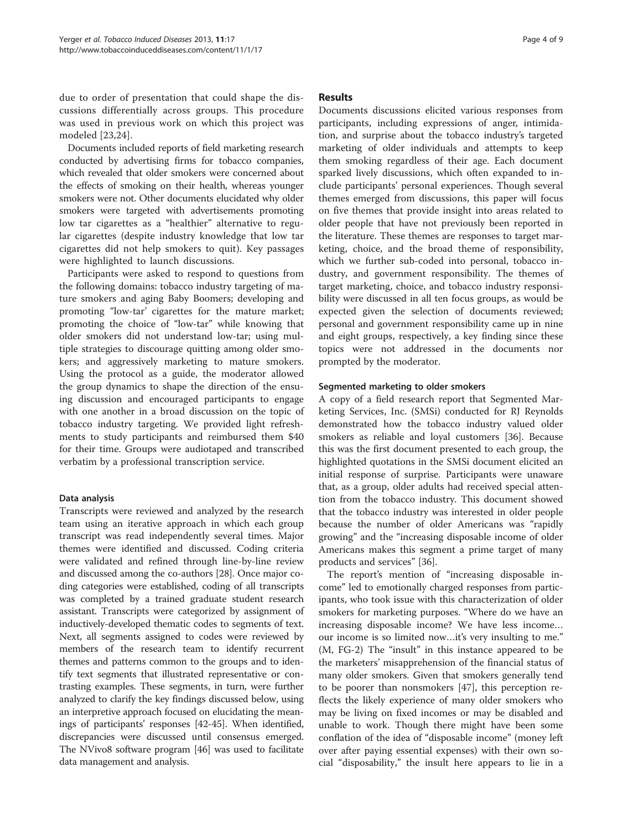due to order of presentation that could shape the discussions differentially across groups. This procedure was used in previous work on which this project was modeled [[23,24](#page-7-0)].

Documents included reports of field marketing research conducted by advertising firms for tobacco companies, which revealed that older smokers were concerned about the effects of smoking on their health, whereas younger smokers were not. Other documents elucidated why older smokers were targeted with advertisements promoting low tar cigarettes as a "healthier" alternative to regular cigarettes (despite industry knowledge that low tar cigarettes did not help smokers to quit). Key passages were highlighted to launch discussions.

Participants were asked to respond to questions from the following domains: tobacco industry targeting of mature smokers and aging Baby Boomers; developing and promoting "low-tar' cigarettes for the mature market; promoting the choice of "low-tar" while knowing that older smokers did not understand low-tar; using multiple strategies to discourage quitting among older smokers; and aggressively marketing to mature smokers. Using the protocol as a guide, the moderator allowed the group dynamics to shape the direction of the ensuing discussion and encouraged participants to engage with one another in a broad discussion on the topic of tobacco industry targeting. We provided light refreshments to study participants and reimbursed them \$40 for their time. Groups were audiotaped and transcribed verbatim by a professional transcription service.

#### Data analysis

Transcripts were reviewed and analyzed by the research team using an iterative approach in which each group transcript was read independently several times. Major themes were identified and discussed. Coding criteria were validated and refined through line-by-line review and discussed among the co-authors [\[28](#page-7-0)]. Once major coding categories were established, coding of all transcripts was completed by a trained graduate student research assistant. Transcripts were categorized by assignment of inductively-developed thematic codes to segments of text. Next, all segments assigned to codes were reviewed by members of the research team to identify recurrent themes and patterns common to the groups and to identify text segments that illustrated representative or contrasting examples. These segments, in turn, were further analyzed to clarify the key findings discussed below, using an interpretive approach focused on elucidating the meanings of participants' responses [\[42-45](#page-8-0)]. When identified, discrepancies were discussed until consensus emerged. The NVivo8 software program [[46](#page-8-0)] was used to facilitate data management and analysis.

#### Results

Documents discussions elicited various responses from participants, including expressions of anger, intimidation, and surprise about the tobacco industry's targeted marketing of older individuals and attempts to keep them smoking regardless of their age. Each document sparked lively discussions, which often expanded to include participants' personal experiences. Though several themes emerged from discussions, this paper will focus on five themes that provide insight into areas related to older people that have not previously been reported in the literature. These themes are responses to target marketing, choice, and the broad theme of responsibility, which we further sub-coded into personal, tobacco industry, and government responsibility. The themes of target marketing, choice, and tobacco industry responsibility were discussed in all ten focus groups, as would be expected given the selection of documents reviewed; personal and government responsibility came up in nine and eight groups, respectively, a key finding since these topics were not addressed in the documents nor prompted by the moderator.

#### Segmented marketing to older smokers

A copy of a field research report that Segmented Marketing Services, Inc. (SMSi) conducted for RJ Reynolds demonstrated how the tobacco industry valued older smokers as reliable and loyal customers [[36\]](#page-8-0). Because this was the first document presented to each group, the highlighted quotations in the SMSi document elicited an initial response of surprise. Participants were unaware that, as a group, older adults had received special attention from the tobacco industry. This document showed that the tobacco industry was interested in older people because the number of older Americans was "rapidly growing" and the "increasing disposable income of older Americans makes this segment a prime target of many products and services" [\[36\]](#page-8-0).

The report's mention of "increasing disposable income" led to emotionally charged responses from participants, who took issue with this characterization of older smokers for marketing purposes. "Where do we have an increasing disposable income? We have less income… our income is so limited now…it's very insulting to me." (M, FG-2) The "insult" in this instance appeared to be the marketers' misapprehension of the financial status of many older smokers. Given that smokers generally tend to be poorer than nonsmokers [\[47](#page-8-0)], this perception reflects the likely experience of many older smokers who may be living on fixed incomes or may be disabled and unable to work. Though there might have been some conflation of the idea of "disposable income" (money left over after paying essential expenses) with their own social "disposability," the insult here appears to lie in a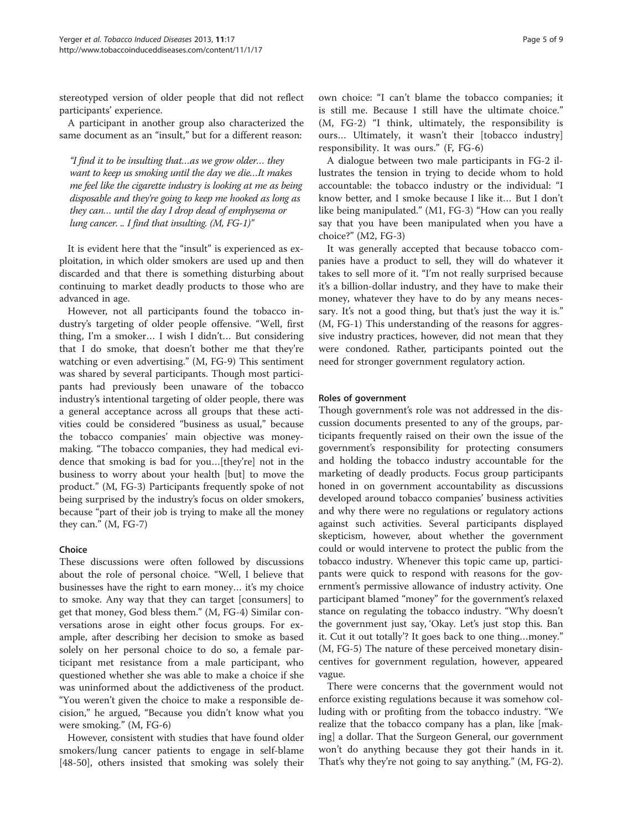stereotyped version of older people that did not reflect participants' experience.

A participant in another group also characterized the same document as an "insult," but for a different reason:

"I find it to be insulting that…as we grow older… they want to keep us smoking until the day we die…It makes me feel like the cigarette industry is looking at me as being disposable and they're going to keep me hooked as long as they can… until the day I drop dead of emphysema or lung cancer. .. I find that insulting.  $(M, FG-1)$ "

It is evident here that the "insult" is experienced as exploitation, in which older smokers are used up and then discarded and that there is something disturbing about continuing to market deadly products to those who are advanced in age.

However, not all participants found the tobacco industry's targeting of older people offensive. "Well, first thing, I'm a smoker… I wish I didn't… But considering that I do smoke, that doesn't bother me that they're watching or even advertising." (M, FG-9) This sentiment was shared by several participants. Though most participants had previously been unaware of the tobacco industry's intentional targeting of older people, there was a general acceptance across all groups that these activities could be considered "business as usual," because the tobacco companies' main objective was moneymaking. "The tobacco companies, they had medical evidence that smoking is bad for you…[they're] not in the business to worry about your health [but] to move the product." (M, FG-3) Participants frequently spoke of not being surprised by the industry's focus on older smokers, because "part of their job is trying to make all the money they can." (M, FG-7)

#### Choice

These discussions were often followed by discussions about the role of personal choice. "Well, I believe that businesses have the right to earn money… it's my choice to smoke. Any way that they can target [consumers] to get that money, God bless them." (M, FG-4) Similar conversations arose in eight other focus groups. For example, after describing her decision to smoke as based solely on her personal choice to do so, a female participant met resistance from a male participant, who questioned whether she was able to make a choice if she was uninformed about the addictiveness of the product. "You weren't given the choice to make a responsible decision," he argued, "Because you didn't know what you were smoking." (M, FG-6)

However, consistent with studies that have found older smokers/lung cancer patients to engage in self-blame [[48-50](#page-8-0)], others insisted that smoking was solely their own choice: "I can't blame the tobacco companies; it is still me. Because I still have the ultimate choice." (M, FG-2) "I think, ultimately, the responsibility is ours… Ultimately, it wasn't their [tobacco industry] responsibility. It was ours." (F, FG-6)

A dialogue between two male participants in FG-2 illustrates the tension in trying to decide whom to hold accountable: the tobacco industry or the individual: "I know better, and I smoke because I like it… But I don't like being manipulated." (M1, FG-3) "How can you really say that you have been manipulated when you have a choice?" (M2, FG-3)

It was generally accepted that because tobacco companies have a product to sell, they will do whatever it takes to sell more of it. "I'm not really surprised because it's a billion-dollar industry, and they have to make their money, whatever they have to do by any means necessary. It's not a good thing, but that's just the way it is." (M, FG-1) This understanding of the reasons for aggressive industry practices, however, did not mean that they were condoned. Rather, participants pointed out the need for stronger government regulatory action.

### Roles of government

Though government's role was not addressed in the discussion documents presented to any of the groups, participants frequently raised on their own the issue of the government's responsibility for protecting consumers and holding the tobacco industry accountable for the marketing of deadly products. Focus group participants honed in on government accountability as discussions developed around tobacco companies' business activities and why there were no regulations or regulatory actions against such activities. Several participants displayed skepticism, however, about whether the government could or would intervene to protect the public from the tobacco industry. Whenever this topic came up, participants were quick to respond with reasons for the government's permissive allowance of industry activity. One participant blamed "money" for the government's relaxed stance on regulating the tobacco industry. "Why doesn't the government just say, 'Okay. Let's just stop this. Ban it. Cut it out totally'? It goes back to one thing…money." (M, FG-5) The nature of these perceived monetary disincentives for government regulation, however, appeared vague.

There were concerns that the government would not enforce existing regulations because it was somehow colluding with or profiting from the tobacco industry. "We realize that the tobacco company has a plan, like [making] a dollar. That the Surgeon General, our government won't do anything because they got their hands in it. That's why they're not going to say anything." (M, FG-2).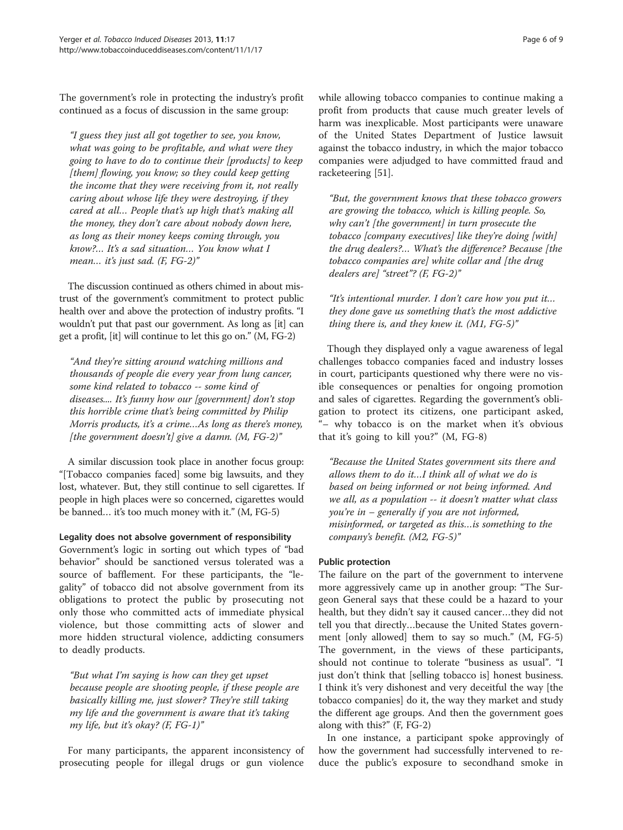The government's role in protecting the industry's profit continued as a focus of discussion in the same group:

"I guess they just all got together to see, you know, what was going to be profitable, and what were they going to have to do to continue their [products] to keep [them] flowing, you know; so they could keep getting the income that they were receiving from it, not really caring about whose life they were destroying, if they cared at all… People that's up high that's making all the money, they don't care about nobody down here, as long as their money keeps coming through, you know?… It's a sad situation… You know what I mean... it's just sad. (F, FG-2)"

The discussion continued as others chimed in about mistrust of the government's commitment to protect public health over and above the protection of industry profits. "I wouldn't put that past our government. As long as [it] can get a profit, [it] will continue to let this go on." (M, FG-2)

"And they're sitting around watching millions and thousands of people die every year from lung cancer, some kind related to tobacco -- some kind of diseases.... It's funny how our [government] don't stop this horrible crime that's being committed by Philip Morris products, it's a crime…As long as there's money, [the government doesn't] give a damn.  $(M, FG-2)$ "

A similar discussion took place in another focus group: "[Tobacco companies faced] some big lawsuits, and they lost, whatever. But, they still continue to sell cigarettes. If people in high places were so concerned, cigarettes would be banned… it's too much money with it." (M, FG-5)

## Legality does not absolve government of responsibility

Government's logic in sorting out which types of "bad behavior" should be sanctioned versus tolerated was a source of bafflement. For these participants, the "legality" of tobacco did not absolve government from its obligations to protect the public by prosecuting not only those who committed acts of immediate physical violence, but those committing acts of slower and more hidden structural violence, addicting consumers to deadly products.

"But what I'm saying is how can they get upset because people are shooting people, if these people are basically killing me, just slower? They're still taking my life and the government is aware that it's taking my life, but it's okay? (F, FG-1)"

For many participants, the apparent inconsistency of prosecuting people for illegal drugs or gun violence

while allowing tobacco companies to continue making a profit from products that cause much greater levels of harm was inexplicable. Most participants were unaware of the United States Department of Justice lawsuit against the tobacco industry, in which the major tobacco companies were adjudged to have committed fraud and racketeering [[51\]](#page-8-0).

"But, the government knows that these tobacco growers are growing the tobacco, which is killing people. So, why can't [the government] in turn prosecute the tobacco [company executives] like they're doing [with] the drug dealers?… What's the difference? Because [the tobacco companies are] white collar and [the drug dealers are] "street"? (F, FG-2)"

"It's intentional murder. I don't care how you put it… they done gave us something that's the most addictive thing there is, and they knew it.  $(M1, FG-5)$ "

Though they displayed only a vague awareness of legal challenges tobacco companies faced and industry losses in court, participants questioned why there were no visible consequences or penalties for ongoing promotion and sales of cigarettes. Regarding the government's obligation to protect its citizens, one participant asked, "– why tobacco is on the market when it's obvious that it's going to kill you?" (M, FG-8)

"Because the United States government sits there and allows them to do it…I think all of what we do is based on being informed or not being informed. And we all, as a population -- it doesn't matter what class you're in – generally if you are not informed, misinformed, or targeted as this…is something to the company's benefit. (M2, FG-5)"

## Public protection

The failure on the part of the government to intervene more aggressively came up in another group: "The Surgeon General says that these could be a hazard to your health, but they didn't say it caused cancer…they did not tell you that directly…because the United States government [only allowed] them to say so much." (M, FG-5) The government, in the views of these participants, should not continue to tolerate "business as usual". "I just don't think that [selling tobacco is] honest business. I think it's very dishonest and very deceitful the way [the tobacco companies] do it, the way they market and study the different age groups. And then the government goes along with this?" (F, FG-2)

In one instance, a participant spoke approvingly of how the government had successfully intervened to reduce the public's exposure to secondhand smoke in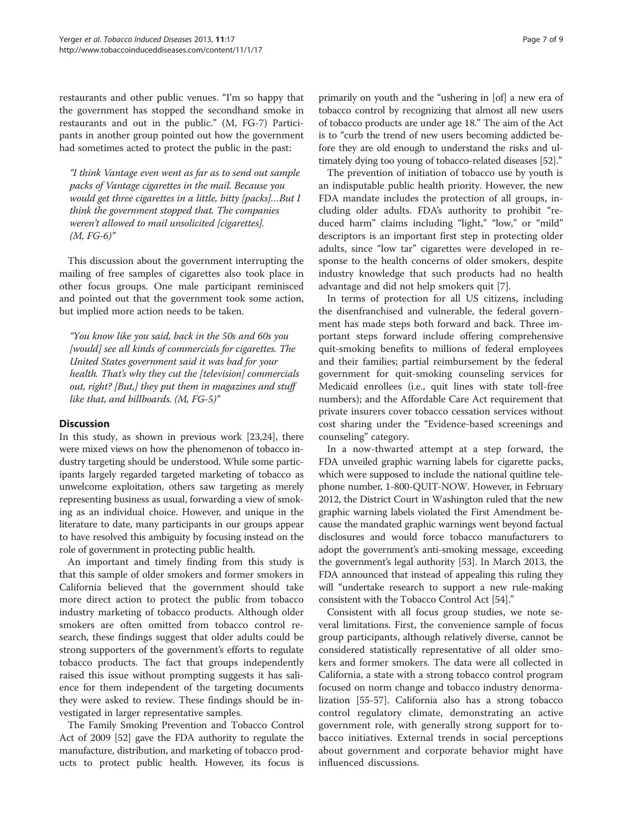restaurants and other public venues. "I'm so happy that the government has stopped the secondhand smoke in restaurants and out in the public." (M, FG-7) Participants in another group pointed out how the government had sometimes acted to protect the public in the past:

"I think Vantage even went as far as to send out sample packs of Vantage cigarettes in the mail. Because you would get three cigarettes in a little, bitty [packs]…But I think the government stopped that. The companies weren't allowed to mail unsolicited [cigarettes].  $(M, FG-6)''$ 

This discussion about the government interrupting the mailing of free samples of cigarettes also took place in other focus groups. One male participant reminisced and pointed out that the government took some action, but implied more action needs to be taken.

"You know like you said, back in the 50s and 60s you [would] see all kinds of commercials for cigarettes. The United States government said it was bad for your health. That's why they cut the [television] commercials out, right? [But,] they put them in magazines and stuff like that, and billboards. (M, FG-5)"

## **Discussion**

In this study, as shown in previous work [[23,24](#page-7-0)], there were mixed views on how the phenomenon of tobacco industry targeting should be understood. While some participants largely regarded targeted marketing of tobacco as unwelcome exploitation, others saw targeting as merely representing business as usual, forwarding a view of smoking as an individual choice. However, and unique in the literature to date, many participants in our groups appear to have resolved this ambiguity by focusing instead on the role of government in protecting public health.

An important and timely finding from this study is that this sample of older smokers and former smokers in California believed that the government should take more direct action to protect the public from tobacco industry marketing of tobacco products. Although older smokers are often omitted from tobacco control research, these findings suggest that older adults could be strong supporters of the government's efforts to regulate tobacco products. The fact that groups independently raised this issue without prompting suggests it has salience for them independent of the targeting documents they were asked to review. These findings should be investigated in larger representative samples.

The Family Smoking Prevention and Tobacco Control Act of 2009 [[52](#page-8-0)] gave the FDA authority to regulate the manufacture, distribution, and marketing of tobacco products to protect public health. However, its focus is primarily on youth and the "ushering in [of] a new era of tobacco control by recognizing that almost all new users of tobacco products are under age 18." The aim of the Act is to "curb the trend of new users becoming addicted before they are old enough to understand the risks and ultimately dying too young of tobacco-related diseases [\[52\]](#page-8-0)."

The prevention of initiation of tobacco use by youth is an indisputable public health priority. However, the new FDA mandate includes the protection of all groups, including older adults. FDA's authority to prohibit "reduced harm" claims including "light," "low," or "mild" descriptors is an important first step in protecting older adults, since "low tar" cigarettes were developed in response to the health concerns of older smokers, despite industry knowledge that such products had no health advantage and did not help smokers quit [\[7](#page-7-0)].

In terms of protection for all US citizens, including the disenfranchised and vulnerable, the federal government has made steps both forward and back. Three important steps forward include offering comprehensive quit-smoking benefits to millions of federal employees and their families; partial reimbursement by the federal government for quit-smoking counseling services for Medicaid enrollees (i.e., quit lines with state toll-free numbers); and the Affordable Care Act requirement that private insurers cover tobacco cessation services without cost sharing under the "Evidence-based screenings and counseling" category.

In a now-thwarted attempt at a step forward, the FDA unveiled graphic warning labels for cigarette packs, which were supposed to include the national quitline telephone number, 1-800-QUIT-NOW. However, in February 2012, the District Court in Washington ruled that the new graphic warning labels violated the First Amendment because the mandated graphic warnings went beyond factual disclosures and would force tobacco manufacturers to adopt the government's anti-smoking message, exceeding the government's legal authority [\[53\]](#page-8-0). In March 2013, the FDA announced that instead of appealing this ruling they will "undertake research to support a new rule-making consistent with the Tobacco Control Act [\[54\]](#page-8-0)."

Consistent with all focus group studies, we note several limitations. First, the convenience sample of focus group participants, although relatively diverse, cannot be considered statistically representative of all older smokers and former smokers. The data were all collected in California, a state with a strong tobacco control program focused on norm change and tobacco industry denormalization [[55-57](#page-8-0)]. California also has a strong tobacco control regulatory climate, demonstrating an active government role, with generally strong support for tobacco initiatives. External trends in social perceptions about government and corporate behavior might have influenced discussions.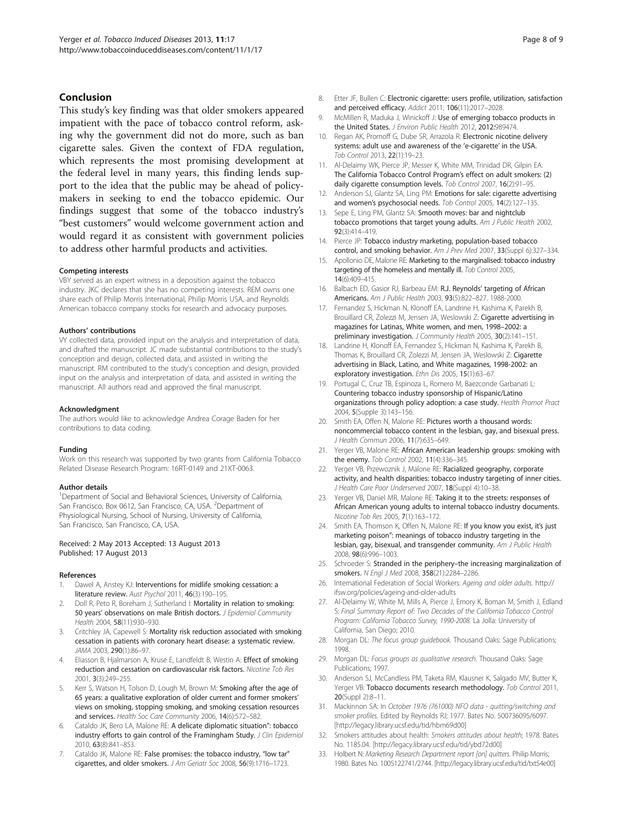#### <span id="page-7-0"></span>Conclusion

This study's key finding was that older smokers appeared impatient with the pace of tobacco control reform, asking why the government did not do more, such as ban cigarette sales. Given the context of FDA regulation, which represents the most promising development at the federal level in many years, this finding lends support to the idea that the public may be ahead of policymakers in seeking to end the tobacco epidemic. Our findings suggest that some of the tobacco industry's "best customers" would welcome government action and would regard it as consistent with government policies to address other harmful products and activities.

#### Competing interests

VBY served as an expert witness in a deposition against the tobacco industry. JKC declares that she has no competing interests. REM owns one share each of Philip Morris International, Philip Morris USA, and Reynolds American tobacco company stocks for research and advocacy purposes.

#### Authors' contributions

VY collected data, provided input on the analysis and interpretation of data, and drafted the manuscript. JC made substantial contributions to the study's conception and design, collected data, and assisted in writing the manuscript. RM contributed to the study's conception and design, provided input on the analysis and interpretation of data, and assisted in writing the manuscript. All authors read and approved the final manuscript.

#### Acknowledgment

The authors would like to acknowledge Andrea Corage Baden for her contributions to data coding.

#### Funding

Work on this research was supported by two grants from California Tobacco Related Disease Research Program: 16RT-0149 and 21XT-0063.

#### Author details

<sup>1</sup>Department of Social and Behavioral Sciences, University of California, San Francisco, Box 0612, San Francisco, CA, USA. <sup>2</sup>Department of Physiological Nursing, School of Nursing, University of California, San Francisco, San Francisco, CA, USA.

#### Received: 2 May 2013 Accepted: 13 August 2013 Published: 17 August 2013

#### References

- Dawel A, Anstey KJ: Interventions for midlife smoking cessation: a literature review. Aust Psychol 2011, 46(3):190–195.
- Doll R, Peto R, Boreham J, Sutherland I: Mortality in relation to smoking: 50 years' observations on male British doctors. J Epidemiol Community Health 2004, 58(11):930–930.
- 3. Critchley JA, Capewell S: Mortality risk reduction associated with smoking cessation in patients with coronary heart disease: a systematic review. JAMA 2003, 290(1):86–97.
- 4. Eliasson B, Hjalmarson A, Kruse E, Landfeldt B, Westin A: Effect of smoking reduction and cessation on cardiovascular risk factors. Nicotine Tob Res 2001, 3(3):249–255.
- 5. Kerr S, Watson H, Tolson D, Lough M, Brown M: Smoking after the age of 65 years: a qualitative exploration of older current and former smokers' views on smoking, stopping smoking, and smoking cessation resources and services. Health Soc Care Community 2006, 14(6):572–582.
- 6. Cataldo JK, Bero LA, Malone RE: A delicate diplomatic situation": tobacco industry efforts to gain control of the Framingham Study. J Clin Epidemiol 2010, 63(8):841–853.
- 7. Cataldo JK, Malone RE: False promises: the tobacco industry, "low tar" cigarettes, and older smokers. J Am Geriatr Soc 2008, 56(9):1716–1723.
- 8. Etter JF, Bullen C: Electronic cigarette: users profile, utilization, satisfaction and perceived efficacy. Addict 2011, 106(11):2017–2028.
- 9. McMillen R, Maduka J, Winickoff J: Use of emerging tobacco products in the United States. J Environ Public Health 2012, 2012:989474.
- 10. Regan AK, Promoff G, Dube SR, Arrazola R: Electronic nicotine delivery systems: adult use and awareness of the 'e-cigarette' in the USA. Tob Control 2013, 22(1):19–23.
- 11. Al-Delaimy WK, Pierce JP, Messer K, White MM, Trinidad DR, Gilpin EA: The California Tobacco Control Program's effect on adult smokers: (2) daily cigarette consumption levels. Tob Control 2007, 16(2):91–95.
- 12. Anderson SJ, Glantz SA, Ling PM: Emotions for sale: cigarette advertising and women's psychosocial needs. Tob Control 2005, 14(2):127–135.
- 13. Sepe E, Ling PM, Glantz SA: Smooth moves: bar and nightclub tobacco promotions that target young adults. Am J Public Health 2002, 92(3):414–419.
- 14. Pierce JP: Tobacco industry marketing, population-based tobacco control, and smoking behavior. Am J Prev Med 2007, 33(Suppl 6):327–334.
- 15. Apollonio DE, Malone RE: Marketing to the marginalised: tobacco industry targeting of the homeless and mentally ill. Tob Control 2005, 14(6):409–415.
- 16. Balbach ED, Gasior RJ, Barbeau EM: R.J. Reynolds' targeting of African Americans. Am J Public Health 2003, 93(5):822–827. 1988-2000.
- 17. Fernandez S, Hickman N, Klonoff EA, Landrine H, Kashima K, Parekh B, Brouillard CR, Zolezzi M, Jensen JA, Weslowski Z: Cigarette advertising in magazines for Latinas, White women, and men, 1998–2002: a preliminary investigation. J Community Health 2005, 30(2):141-151.
- 18. Landrine H, Klonoff EA, Fernandez S, Hickman N, Kashima K, Parekh B, Thomas K, Brouillard CR, Zolezzi M, Jensen JA, Weslowski Z: Cigarette advertising in Black, Latino, and White magazines, 1998-2002: an exploratory investigation. Ethn Dis 2005, 15(1):63-67.
- 19. Portugal C, Cruz TB, Espinoza L, Romero M, Baezconde Garbanati L: Countering tobacco industry sponsorship of Hispanic/Latino organizations through policy adoption: a case study. Health Promot Pract 2004, 5(Supple 3):143–156.
- 20. Smith FA, Offen N, Malone RF: Pictures worth a thousand words: noncommercial tobacco content in the lesbian, gay, and bisexual press. J Health Commun 2006, 11(7):635–649.
- 21. Yerger VB, Malone RE: African American leadership groups: smoking with the enemy. Tob Control 2002, 11(4):336–345.
- 22. Yerger VB, Przewoznik J, Malone RE: Racialized geography, corporate activity, and health disparities: tobacco industry targeting of inner cities. J Health Care Poor Underserved 2007, 18(Suppl 4):10-38.
- 23. Yerger VB, Daniel MR, Malone RE: Taking it to the streets: responses of African American young adults to internal tobacco industry documents. Nicotine Tob Res 2005, 7(1):163–172.
- 24. Smith EA, Thomson K, Offen N, Malone RE: If you know you exist, it's just marketing poison": meanings of tobacco industry targeting in the lesbian, gay, bisexual, and transgender community. Am J Public Health 2008, 98(6):996–1003.
- 25. Schroeder S: Stranded in the periphery–the increasing marginalization of smokers. N Engl J Med 2008, 358(21):2284–2286.
- 26. International Federation of Social Workers: Ageing and older adults. [http://](http://ifsw.org/policies/ageing-and-older-adults) [ifsw.org/policies/ageing-and-older-adults](http://ifsw.org/policies/ageing-and-older-adults)
- 27. Al-Delaimy W, White M, Mills A, Pierce J, Emory K, Boman M, Smith J, Edland S: Final Summary Report of: Two Decades of the California Tobacco Control Program: California Tobacco Survey, 1990-2008. La Jolla: University of California, San Diego; 2010.
- 28. Morgan DL: The focus group guidebook. Thousand Oaks: Sage Publications; 1998.
- 29. Morgan DL: Focus groups as qualitative research. Thousand Oaks: Sage Publications; 1997.
- 30. Anderson SJ, McCandless PM, Taketa RM, Klausner K, Salgado MV, Butter K, Yerger VB: Tobacco documents research methodology. Tob Control 2011, 20(Suppl 2):8–11.
- 31. Mackinnon SA: In October 1976 (761000) NFO data quitting/switching and smoker profiles. Edited by Reynolds RJ; 1977. Bates No. 500736095/6097. [<http://legacy.library.ucsf.edu/tid/hbm69d00>]
- 32. Smokers attitudes about health: Smokers attitudes about health; 1978. Bates No. 1185.04. [\[http://legacy.library.ucsf.edu/tid/ybd72d00](http://legacy.library.ucsf.edu/tid/ybd72d00)]
- 33. Holbert N: Marketing Research Department report [on] quitters. Philip Morris; 1980. Bates No. 1005122741/2744. [\[http://legacy.library.ucsf.edu/tid/txt54e00](http://legacy.library.ucsf.edu/tid/txt54e00)]